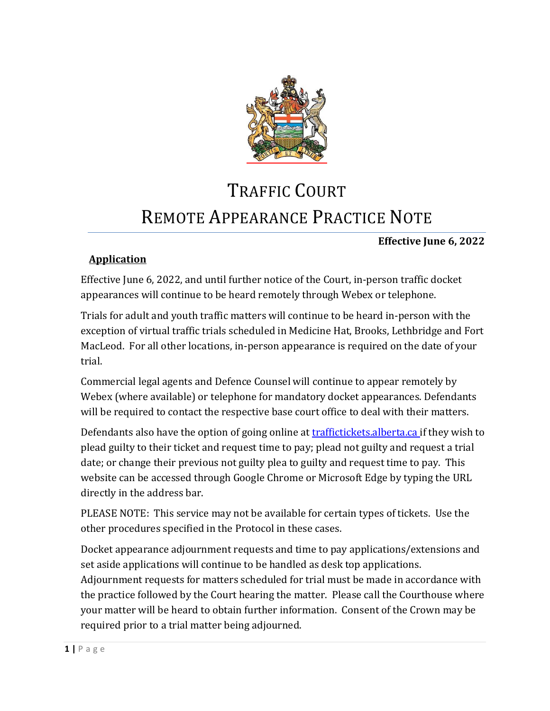

# TRAFFIC COURT REMOTE APPEARANCE PRACTICE NOTE

#### **Effective June 6, 2022**

#### **Application**

Effective June 6, 2022, and until further notice of the Court, in-person traffic docket appearances will continue to be heard remotely through Webex or telephone.

Trials for adult and youth traffic matters will continue to be heard in-person with the exception of virtual traffic trials scheduled in Medicine Hat, Brooks, Lethbridge and Fort MacLeod. For all other locations, in-person appearance is required on the date of your trial.

Commercial legal agents and Defence Counsel will continue to appear remotely by Webex (where available) or telephone for mandatory docket appearances. Defendants will be required to contact the respective base court office to deal with their matters.

Defendants also have the option of going online at [traffictickets.alberta.ca](https://traffictickets.alberta.ca/) if they wish to plead guilty to their ticket and request time to pay; plead not guilty and request a trial date; or change their previous not guilty plea to guilty and request time to pay. This website can be accessed through Google Chrome or Microsoft Edge by typing the URL directly in the address bar.

PLEASE NOTE: This service may not be available for certain types of tickets. Use the other procedures specified in the Protocol in these cases.

Docket appearance adjournment requests and time to pay applications/extensions and set aside applications will continue to be handled as desk top applications. Adjournment requests for matters scheduled for trial must be made in accordance with the practice followed by the Court hearing the matter. Please call the Courthouse where your matter will be heard to obtain further information. Consent of the Crown may be required prior to a trial matter being adjourned.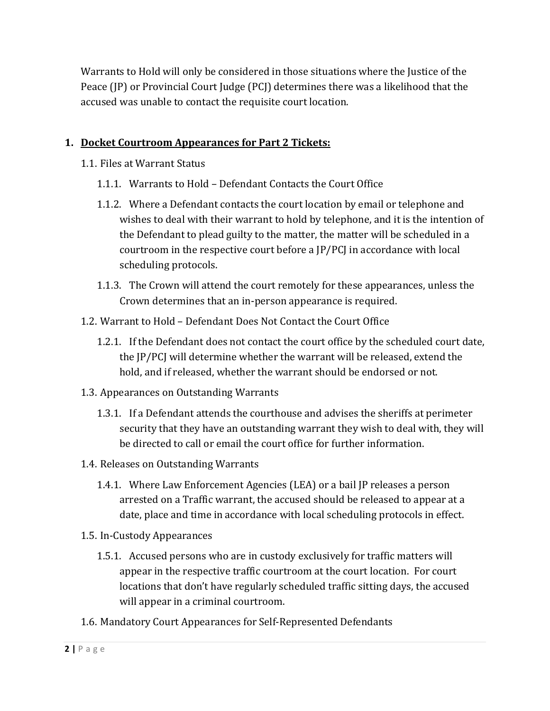Warrants to Hold will only be considered in those situations where the Justice of the Peace (JP) or Provincial Court Judge (PCJ) determines there was a likelihood that the accused was unable to contact the requisite court location.

#### **1. Docket Courtroom Appearances for Part 2 Tickets:**

- 1.1. Files at Warrant Status
	- 1.1.1. Warrants to Hold Defendant Contacts the Court Office
	- 1.1.2. Where a Defendant contacts the court location by email or telephone and wishes to deal with their warrant to hold by telephone, and it is the intention of the Defendant to plead guilty to the matter, the matter will be scheduled in a courtroom in the respective court before a JP/PCJ in accordance with local scheduling protocols.
	- 1.1.3. The Crown will attend the court remotely for these appearances, unless the Crown determines that an in-person appearance is required.
- 1.2. Warrant to Hold Defendant Does Not Contact the Court Office
	- 1.2.1. If the Defendant does not contact the court office by the scheduled court date, the JP/PCJ will determine whether the warrant will be released, extend the hold, and if released, whether the warrant should be endorsed or not.
- 1.3. Appearances on Outstanding Warrants
	- 1.3.1. If a Defendant attends the courthouse and advises the sheriffs at perimeter security that they have an outstanding warrant they wish to deal with, they will be directed to call or email the court office for further information.
- 1.4. Releases on Outstanding Warrants
	- 1.4.1. Where Law Enforcement Agencies (LEA) or a bail JP releases a person arrested on a Traffic warrant, the accused should be released to appear at a date, place and time in accordance with local scheduling protocols in effect.
- 1.5. In-Custody Appearances
	- 1.5.1. Accused persons who are in custody exclusively for traffic matters will appear in the respective traffic courtroom at the court location. For court locations that don't have regularly scheduled traffic sitting days, the accused will appear in a criminal courtroom.
- 1.6. Mandatory Court Appearances for Self-Represented Defendants